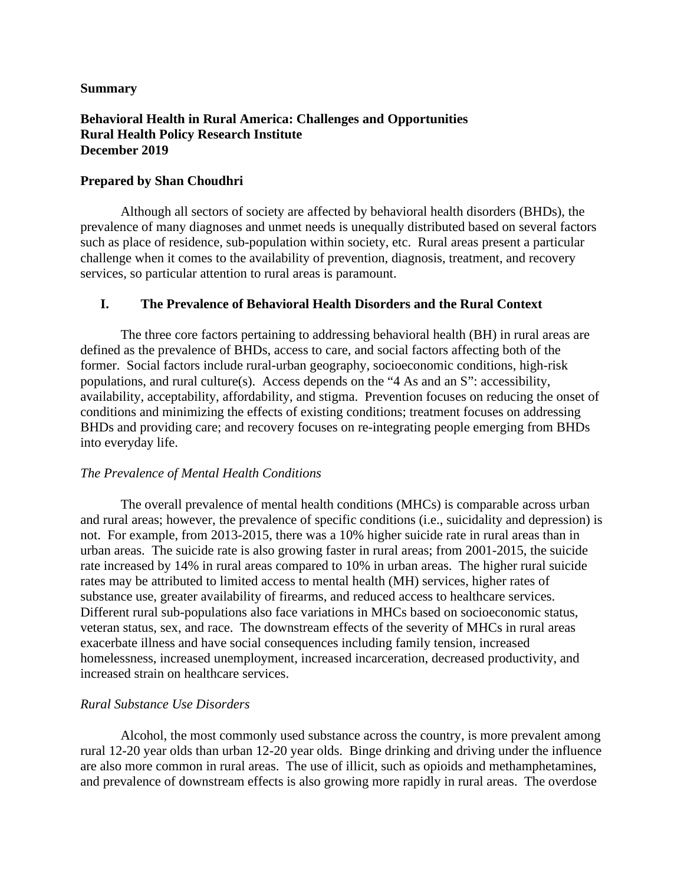### **Summary**

## **Behavioral Health in Rural America: Challenges and Opportunities Rural Health Policy Research Institute December 2019**

## **Prepared by Shan Choudhri**

Although all sectors of society are affected by behavioral health disorders (BHDs), the prevalence of many diagnoses and unmet needs is unequally distributed based on several factors such as place of residence, sub-population within society, etc. Rural areas present a particular challenge when it comes to the availability of prevention, diagnosis, treatment, and recovery services, so particular attention to rural areas is paramount.

## **I. The Prevalence of Behavioral Health Disorders and the Rural Context**

The three core factors pertaining to addressing behavioral health (BH) in rural areas are defined as the prevalence of BHDs, access to care, and social factors affecting both of the former. Social factors include rural-urban geography, socioeconomic conditions, high-risk populations, and rural culture(s). Access depends on the "4 As and an S": accessibility, availability, acceptability, affordability, and stigma. Prevention focuses on reducing the onset of conditions and minimizing the effects of existing conditions; treatment focuses on addressing BHDs and providing care; and recovery focuses on re-integrating people emerging from BHDs into everyday life.

### *The Prevalence of Mental Health Conditions*

The overall prevalence of mental health conditions (MHCs) is comparable across urban and rural areas; however, the prevalence of specific conditions (i.e., suicidality and depression) is not. For example, from 2013-2015, there was a 10% higher suicide rate in rural areas than in urban areas. The suicide rate is also growing faster in rural areas; from 2001-2015, the suicide rate increased by 14% in rural areas compared to 10% in urban areas. The higher rural suicide rates may be attributed to limited access to mental health (MH) services, higher rates of substance use, greater availability of firearms, and reduced access to healthcare services. Different rural sub-populations also face variations in MHCs based on socioeconomic status, veteran status, sex, and race. The downstream effects of the severity of MHCs in rural areas exacerbate illness and have social consequences including family tension, increased homelessness, increased unemployment, increased incarceration, decreased productivity, and increased strain on healthcare services.

### *Rural Substance Use Disorders*

Alcohol, the most commonly used substance across the country, is more prevalent among rural 12-20 year olds than urban 12-20 year olds. Binge drinking and driving under the influence are also more common in rural areas. The use of illicit, such as opioids and methamphetamines, and prevalence of downstream effects is also growing more rapidly in rural areas. The overdose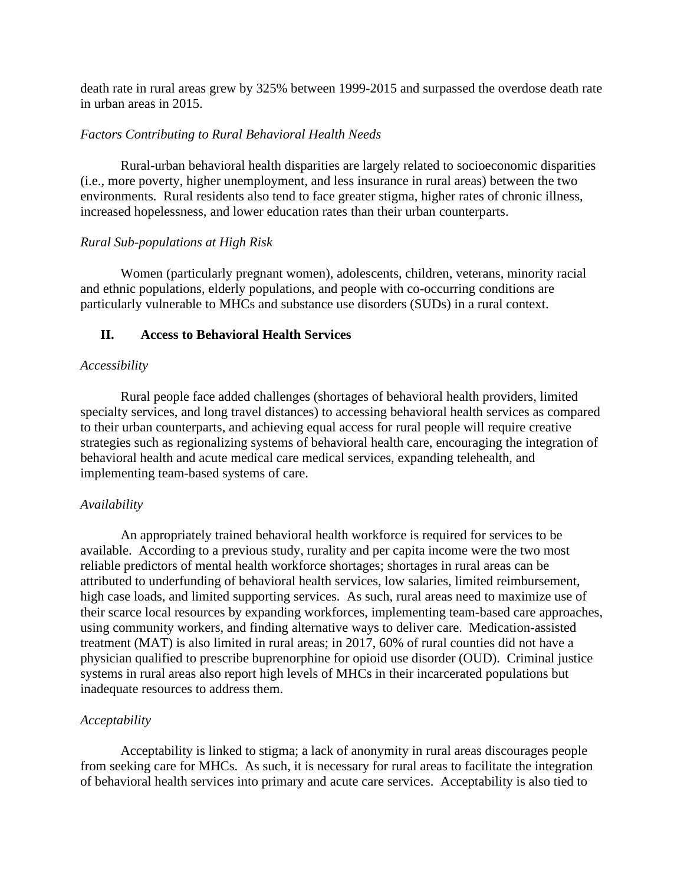death rate in rural areas grew by 325% between 1999-2015 and surpassed the overdose death rate in urban areas in 2015.

## *Factors Contributing to Rural Behavioral Health Needs*

Rural-urban behavioral health disparities are largely related to socioeconomic disparities (i.e., more poverty, higher unemployment, and less insurance in rural areas) between the two environments. Rural residents also tend to face greater stigma, higher rates of chronic illness, increased hopelessness, and lower education rates than their urban counterparts.

### *Rural Sub-populations at High Risk*

Women (particularly pregnant women), adolescents, children, veterans, minority racial and ethnic populations, elderly populations, and people with co-occurring conditions are particularly vulnerable to MHCs and substance use disorders (SUDs) in a rural context.

## **II. Access to Behavioral Health Services**

### *Accessibility*

Rural people face added challenges (shortages of behavioral health providers, limited specialty services, and long travel distances) to accessing behavioral health services as compared to their urban counterparts, and achieving equal access for rural people will require creative strategies such as regionalizing systems of behavioral health care, encouraging the integration of behavioral health and acute medical care medical services, expanding telehealth, and implementing team-based systems of care.

### *Availability*

An appropriately trained behavioral health workforce is required for services to be available. According to a previous study, rurality and per capita income were the two most reliable predictors of mental health workforce shortages; shortages in rural areas can be attributed to underfunding of behavioral health services, low salaries, limited reimbursement, high case loads, and limited supporting services. As such, rural areas need to maximize use of their scarce local resources by expanding workforces, implementing team-based care approaches, using community workers, and finding alternative ways to deliver care. Medication-assisted treatment (MAT) is also limited in rural areas; in 2017, 60% of rural counties did not have a physician qualified to prescribe buprenorphine for opioid use disorder (OUD). Criminal justice systems in rural areas also report high levels of MHCs in their incarcerated populations but inadequate resources to address them.

## *Acceptability*

Acceptability is linked to stigma; a lack of anonymity in rural areas discourages people from seeking care for MHCs. As such, it is necessary for rural areas to facilitate the integration of behavioral health services into primary and acute care services. Acceptability is also tied to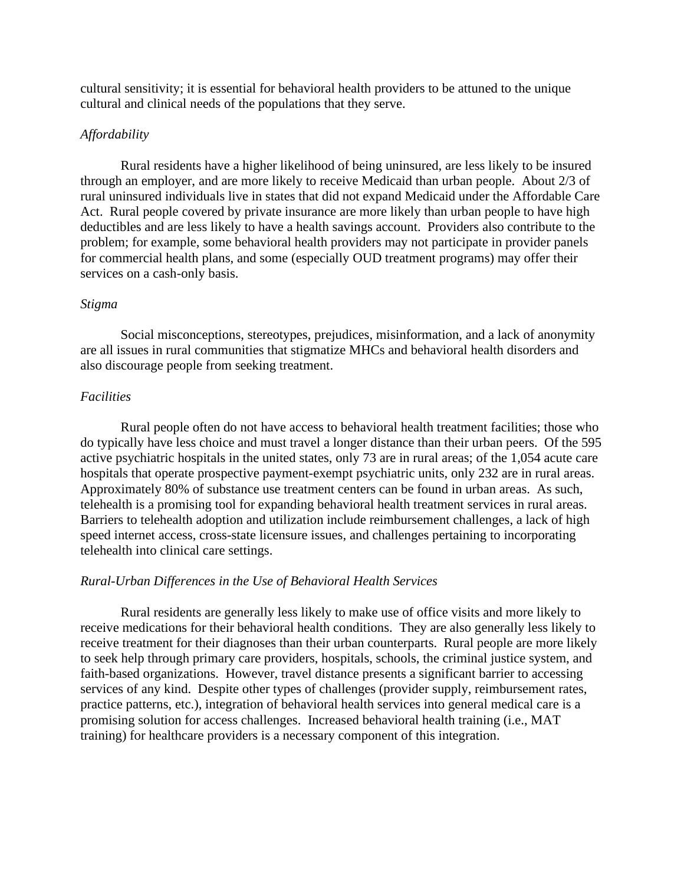cultural sensitivity; it is essential for behavioral health providers to be attuned to the unique cultural and clinical needs of the populations that they serve.

### *Affordability*

Rural residents have a higher likelihood of being uninsured, are less likely to be insured through an employer, and are more likely to receive Medicaid than urban people. About 2/3 of rural uninsured individuals live in states that did not expand Medicaid under the Affordable Care Act. Rural people covered by private insurance are more likely than urban people to have high deductibles and are less likely to have a health savings account. Providers also contribute to the problem; for example, some behavioral health providers may not participate in provider panels for commercial health plans, and some (especially OUD treatment programs) may offer their services on a cash-only basis.

#### *Stigma*

Social misconceptions, stereotypes, prejudices, misinformation, and a lack of anonymity are all issues in rural communities that stigmatize MHCs and behavioral health disorders and also discourage people from seeking treatment.

#### *Facilities*

Rural people often do not have access to behavioral health treatment facilities; those who do typically have less choice and must travel a longer distance than their urban peers. Of the 595 active psychiatric hospitals in the united states, only 73 are in rural areas; of the 1,054 acute care hospitals that operate prospective payment-exempt psychiatric units, only 232 are in rural areas. Approximately 80% of substance use treatment centers can be found in urban areas. As such, telehealth is a promising tool for expanding behavioral health treatment services in rural areas. Barriers to telehealth adoption and utilization include reimbursement challenges, a lack of high speed internet access, cross-state licensure issues, and challenges pertaining to incorporating telehealth into clinical care settings.

#### *Rural-Urban Differences in the Use of Behavioral Health Services*

Rural residents are generally less likely to make use of office visits and more likely to receive medications for their behavioral health conditions. They are also generally less likely to receive treatment for their diagnoses than their urban counterparts. Rural people are more likely to seek help through primary care providers, hospitals, schools, the criminal justice system, and faith-based organizations. However, travel distance presents a significant barrier to accessing services of any kind. Despite other types of challenges (provider supply, reimbursement rates, practice patterns, etc.), integration of behavioral health services into general medical care is a promising solution for access challenges. Increased behavioral health training (i.e., MAT training) for healthcare providers is a necessary component of this integration.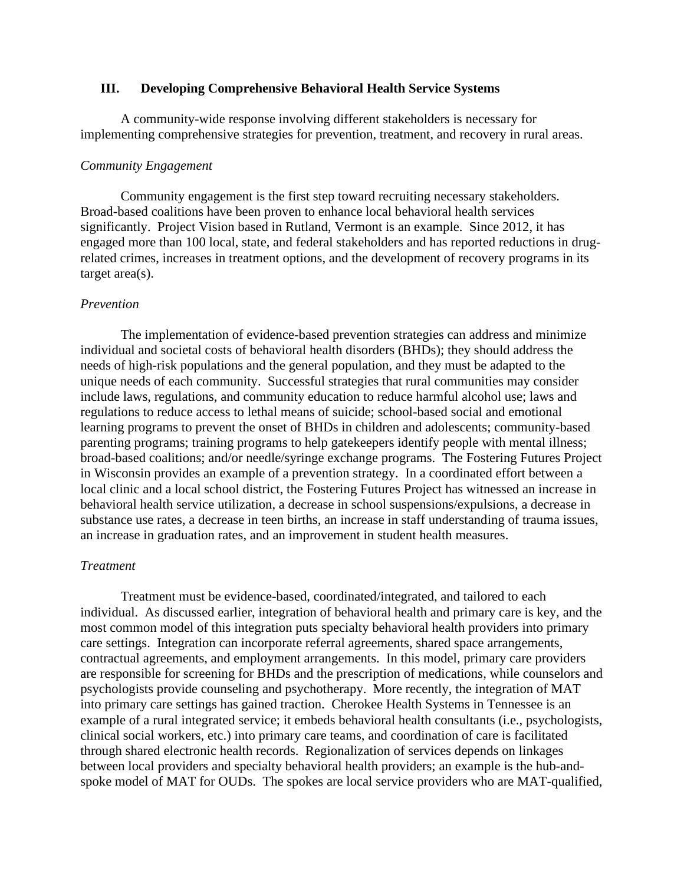### **III. Developing Comprehensive Behavioral Health Service Systems**

A community-wide response involving different stakeholders is necessary for implementing comprehensive strategies for prevention, treatment, and recovery in rural areas.

#### *Community Engagement*

Community engagement is the first step toward recruiting necessary stakeholders. Broad-based coalitions have been proven to enhance local behavioral health services significantly. Project Vision based in Rutland, Vermont is an example. Since 2012, it has engaged more than 100 local, state, and federal stakeholders and has reported reductions in drugrelated crimes, increases in treatment options, and the development of recovery programs in its target area(s).

#### *Prevention*

The implementation of evidence-based prevention strategies can address and minimize individual and societal costs of behavioral health disorders (BHDs); they should address the needs of high-risk populations and the general population, and they must be adapted to the unique needs of each community. Successful strategies that rural communities may consider include laws, regulations, and community education to reduce harmful alcohol use; laws and regulations to reduce access to lethal means of suicide; school-based social and emotional learning programs to prevent the onset of BHDs in children and adolescents; community-based parenting programs; training programs to help gatekeepers identify people with mental illness; broad-based coalitions; and/or needle/syringe exchange programs. The Fostering Futures Project in Wisconsin provides an example of a prevention strategy. In a coordinated effort between a local clinic and a local school district, the Fostering Futures Project has witnessed an increase in behavioral health service utilization, a decrease in school suspensions/expulsions, a decrease in substance use rates, a decrease in teen births, an increase in staff understanding of trauma issues, an increase in graduation rates, and an improvement in student health measures.

#### *Treatment*

Treatment must be evidence-based, coordinated/integrated, and tailored to each individual. As discussed earlier, integration of behavioral health and primary care is key, and the most common model of this integration puts specialty behavioral health providers into primary care settings. Integration can incorporate referral agreements, shared space arrangements, contractual agreements, and employment arrangements. In this model, primary care providers are responsible for screening for BHDs and the prescription of medications, while counselors and psychologists provide counseling and psychotherapy. More recently, the integration of MAT into primary care settings has gained traction. Cherokee Health Systems in Tennessee is an example of a rural integrated service; it embeds behavioral health consultants (i.e., psychologists, clinical social workers, etc.) into primary care teams, and coordination of care is facilitated through shared electronic health records. Regionalization of services depends on linkages between local providers and specialty behavioral health providers; an example is the hub-andspoke model of MAT for OUDs. The spokes are local service providers who are MAT-qualified,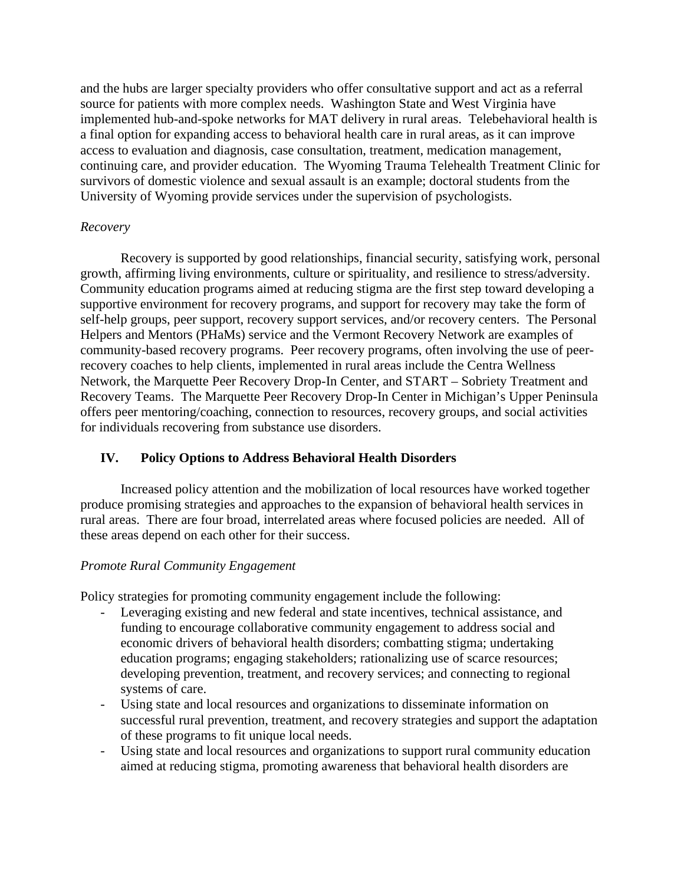and the hubs are larger specialty providers who offer consultative support and act as a referral source for patients with more complex needs. Washington State and West Virginia have implemented hub-and-spoke networks for MAT delivery in rural areas. Telebehavioral health is a final option for expanding access to behavioral health care in rural areas, as it can improve access to evaluation and diagnosis, case consultation, treatment, medication management, continuing care, and provider education. The Wyoming Trauma Telehealth Treatment Clinic for survivors of domestic violence and sexual assault is an example; doctoral students from the University of Wyoming provide services under the supervision of psychologists.

## *Recovery*

Recovery is supported by good relationships, financial security, satisfying work, personal growth, affirming living environments, culture or spirituality, and resilience to stress/adversity. Community education programs aimed at reducing stigma are the first step toward developing a supportive environment for recovery programs, and support for recovery may take the form of self-help groups, peer support, recovery support services, and/or recovery centers. The Personal Helpers and Mentors (PHaMs) service and the Vermont Recovery Network are examples of community-based recovery programs. Peer recovery programs, often involving the use of peerrecovery coaches to help clients, implemented in rural areas include the Centra Wellness Network, the Marquette Peer Recovery Drop-In Center, and START – Sobriety Treatment and Recovery Teams. The Marquette Peer Recovery Drop-In Center in Michigan's Upper Peninsula offers peer mentoring/coaching, connection to resources, recovery groups, and social activities for individuals recovering from substance use disorders.

# **IV. Policy Options to Address Behavioral Health Disorders**

Increased policy attention and the mobilization of local resources have worked together produce promising strategies and approaches to the expansion of behavioral health services in rural areas. There are four broad, interrelated areas where focused policies are needed. All of these areas depend on each other for their success.

## *Promote Rural Community Engagement*

Policy strategies for promoting community engagement include the following:

- Leveraging existing and new federal and state incentives, technical assistance, and funding to encourage collaborative community engagement to address social and economic drivers of behavioral health disorders; combatting stigma; undertaking education programs; engaging stakeholders; rationalizing use of scarce resources; developing prevention, treatment, and recovery services; and connecting to regional systems of care.
- Using state and local resources and organizations to disseminate information on successful rural prevention, treatment, and recovery strategies and support the adaptation of these programs to fit unique local needs.
- Using state and local resources and organizations to support rural community education aimed at reducing stigma, promoting awareness that behavioral health disorders are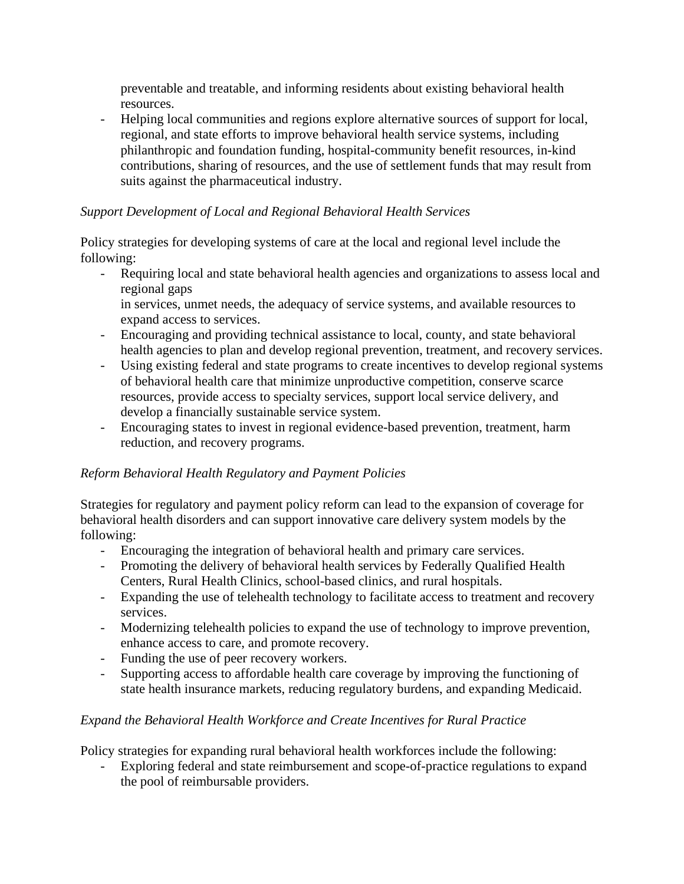preventable and treatable, and informing residents about existing behavioral health resources.

- Helping local communities and regions explore alternative sources of support for local, regional, and state efforts to improve behavioral health service systems, including philanthropic and foundation funding, hospital-community benefit resources, in-kind contributions, sharing of resources, and the use of settlement funds that may result from suits against the pharmaceutical industry.

## *Support Development of Local and Regional Behavioral Health Services*

Policy strategies for developing systems of care at the local and regional level include the following:

- Requiring local and state behavioral health agencies and organizations to assess local and regional gaps

in services, unmet needs, the adequacy of service systems, and available resources to expand access to services.

- Encouraging and providing technical assistance to local, county, and state behavioral health agencies to plan and develop regional prevention, treatment, and recovery services.
- Using existing federal and state programs to create incentives to develop regional systems of behavioral health care that minimize unproductive competition, conserve scarce resources, provide access to specialty services, support local service delivery, and develop a financially sustainable service system.
- Encouraging states to invest in regional evidence-based prevention, treatment, harm reduction, and recovery programs.

# *Reform Behavioral Health Regulatory and Payment Policies*

Strategies for regulatory and payment policy reform can lead to the expansion of coverage for behavioral health disorders and can support innovative care delivery system models by the following:

- Encouraging the integration of behavioral health and primary care services.
- Promoting the delivery of behavioral health services by Federally Qualified Health Centers, Rural Health Clinics, school-based clinics, and rural hospitals.
- Expanding the use of telehealth technology to facilitate access to treatment and recovery services.
- Modernizing telehealth policies to expand the use of technology to improve prevention, enhance access to care, and promote recovery.
- Funding the use of peer recovery workers.
- Supporting access to affordable health care coverage by improving the functioning of state health insurance markets, reducing regulatory burdens, and expanding Medicaid.

# *Expand the Behavioral Health Workforce and Create Incentives for Rural Practice*

Policy strategies for expanding rural behavioral health workforces include the following:

Exploring federal and state reimbursement and scope-of-practice regulations to expand the pool of reimbursable providers.